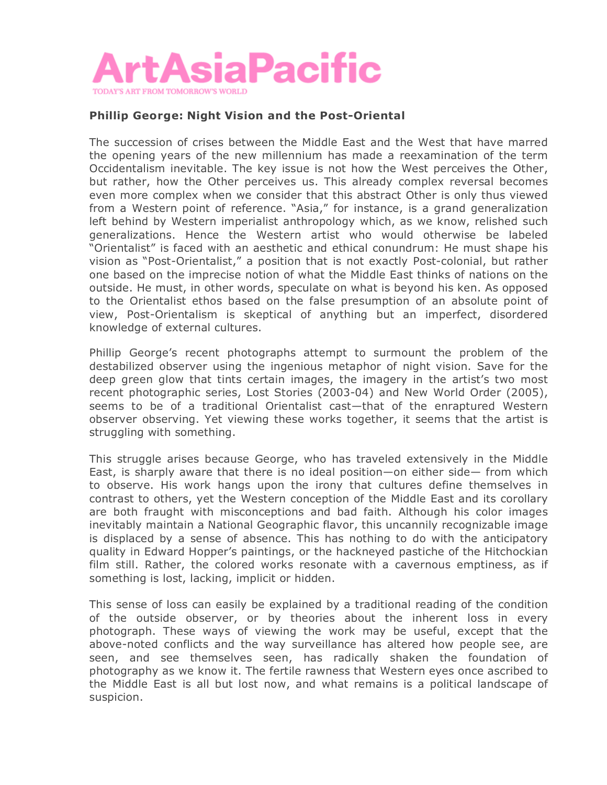

## **Phillip George: Night Vision and the Post-Oriental**

The succession of crises between the Middle East and the West that have marred the opening years of the new millennium has made a reexamination of the term Occidentalism inevitable. The key issue is not how the West perceives the Other, but rather, how the Other perceives us. This already complex reversal becomes even more complex when we consider that this abstract Other is only thus viewed from a Western point of reference. "Asia," for instance, is a grand generalization left behind by Western imperialist anthropology which, as we know, relished such generalizations. Hence the Western artist who would otherwise be labeled "Orientalist" is faced with an aesthetic and ethical conundrum: He must shape his vision as "Post-Orientalist," a position that is not exactly Post-colonial, but rather one based on the imprecise notion of what the Middle East thinks of nations on the outside. He must, in other words, speculate on what is beyond his ken. As opposed to the Orientalist ethos based on the false presumption of an absolute point of view, Post-Orientalism is skeptical of anything but an imperfect, disordered knowledge of external cultures.

Phillip George's recent photographs attempt to surmount the problem of the destabilized observer using the ingenious metaphor of night vision. Save for the deep green glow that tints certain images, the imagery in the artist's two most recent photographic series, Lost Stories (2003-04) and New World Order (2005), seems to be of a traditional Orientalist cast—that of the enraptured Western observer observing. Yet viewing these works together, it seems that the artist is struggling with something.

This struggle arises because George, who has traveled extensively in the Middle East, is sharply aware that there is no ideal position—on either side— from which to observe. His work hangs upon the irony that cultures define themselves in contrast to others, yet the Western conception of the Middle East and its corollary are both fraught with misconceptions and bad faith. Although his color images inevitably maintain a National Geographic flavor, this uncannily recognizable image is displaced by a sense of absence. This has nothing to do with the anticipatory quality in Edward Hopper's paintings, or the hackneyed pastiche of the Hitchockian film still. Rather, the colored works resonate with a cavernous emptiness, as if something is lost, lacking, implicit or hidden.

This sense of loss can easily be explained by a traditional reading of the condition of the outside observer, or by theories about the inherent loss in every photograph. These ways of viewing the work may be useful, except that the above-noted conflicts and the way surveillance has altered how people see, are seen, and see themselves seen, has radically shaken the foundation of photography as we know it. The fertile rawness that Western eyes once ascribed to the Middle East is all but lost now, and what remains is a political landscape of suspicion.